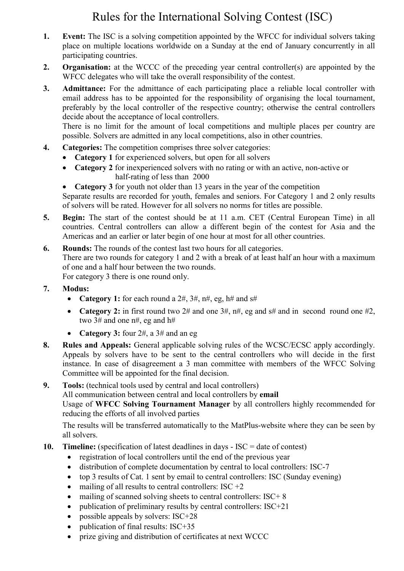# Rules for the International Solving Contest (ISC)

- 1. Event: The ISC is a solving competition appointed by the WFCC for individual solvers taking place on multiple locations worldwide on a Sunday at the end of January concurrently in all participating countries.
- 2. Organisation: at the WCCC of the preceding year central controller(s) are appointed by the WFCC delegates who will take the overall responsibility of the contest.
- 3. Admittance: For the admittance of each participating place a reliable local controller with email address has to be appointed for the responsibility of organising the local tournament, preferably by the local controller of the respective country; otherwise the central controllers decide about the acceptance of local controllers.

There is no limit for the amount of local competitions and multiple places per country are possible. Solvers are admitted in any local competitions, also in other countries.

- 4. Categories: The competition comprises three solver categories:
	- Category 1 for experienced solvers, but open for all solvers
	- Category 2 for inexperienced solvers with no rating or with an active, non-active or half-rating of less than 2000
	- Category 3 for youth not older than 13 years in the year of the competition

Separate results are recorded for youth, females and seniors. For Category 1 and 2 only results of solvers will be rated. However for all solvers no norms for titles are possible.

- 5. Begin: The start of the contest should be at 11 a.m. CET (Central European Time) in all countries. Central controllers can allow a different begin of the contest for Asia and the Americas and an earlier or later begin of one hour at most for all other countries.
- 6. Rounds: The rounds of the contest last two hours for all categories. There are two rounds for category 1 and 2 with a break of at least half an hour with a maximum of one and a half hour between the two rounds.

For category 3 there is one round only.

- 7. Modus:
	- Category 1: for each round a  $2\#$ ,  $3\#$ ,  $n\#$ , eg,  $h\#$  and  $s\#$
	- Category 2: in first round two  $2\#$  and one  $3\#, \, \pi\#$ , eg and  $\#$  and in second round one  $\#2$ , two 3# and one n#, eg and h#
	- Category 3: four  $2#$ , a  $3#$  and an eg
- 8. Rules and Appeals: General applicable solving rules of the WCSC/ECSC apply accordingly. Appeals by solvers have to be sent to the central controllers who will decide in the first instance. In case of disagreement a 3 man committee with members of the WFCC Solving Committee will be appointed for the final decision.

#### 9. Tools: (technical tools used by central and local controllers)

All communication between central and local controllers by email

Usage of WFCC Solving Tournament Manager by all controllers highly recommended for reducing the efforts of all involved parties

The results will be transferred automatically to the MatPlus-website where they can be seen by all solvers.

- 10. Timeline: (specification of latest deadlines in days ISC = date of contest)
	- registration of local controllers until the end of the previous year
	- distribution of complete documentation by central to local controllers: ISC-7
	- top 3 results of Cat. 1 sent by email to central controllers: ISC (Sunday evening)
	- mailing of all results to central controllers:  $ISC +2$
	- mailing of scanned solving sheets to central controllers: ISC+ 8
	- publication of preliminary results by central controllers: ISC+21
	- possible appeals by solvers: ISC+28
	- publication of final results: ISC+35
	- prize giving and distribution of certificates at next WCCC